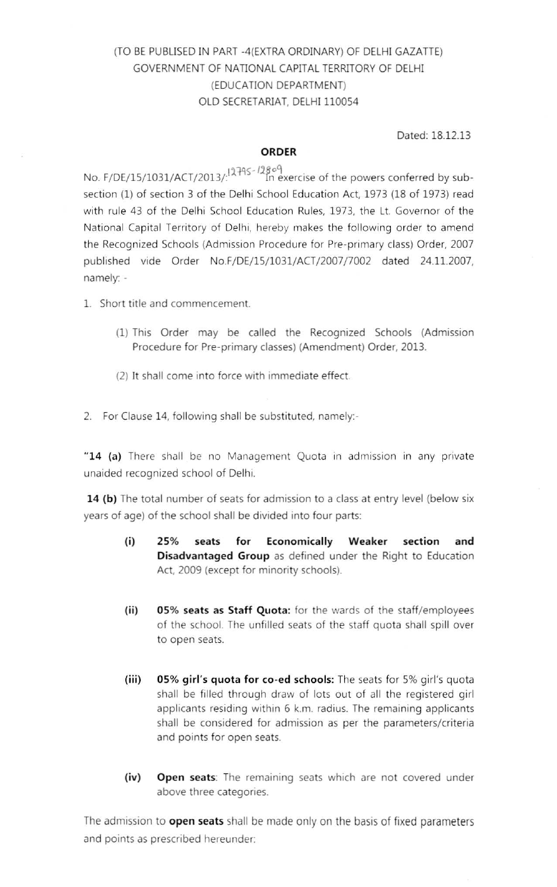# (TO BE PUBLISED IN PART -4(EXTRA ORDINARY) OF DELHI GAZATTE) GOVERNMENT OF NATIONAL CAPITAL TERRITORY OF DELHI (EDUCATION DEPARTMENT) OLD SECRETARIAT, DELHI 110054

Dated: 18.12.13

### ORDER

No. F/DE/15/1031/ACT/2013/:<sup>1279S-12809</sup> In exercise of the powers conferred by subsection (1) of section 3 of the Delhi School Education Act, 1973 (18 of 1973) read with rule 43 of the Delhi School Education Rules, 1973, the Lt. Governor of the National Capital Territory of Delhi, hereby makes the following order to amend the Recognized Schools (Admission Procedure for Pre-primary class) Order, 2007 published vide Order NO.F/DE/15/1031/ACT/2007/7002 dated 24.11.2007, namely: -

- L Short title and commencement
	- (1) This Order may be called the Recognized Schools (Admission Procedure for Pre-primary classes) (Amendment) Order, 2013.
	- (2) It shall come into force with immediate effect
- 2. For Clause 14, following shall be substituted, namely:-

"14 (a) There shall be no Management Quota in admission in any private unaided recognized school of Delhi.

14 (b) The total number of seats for admission to a class at entry level (below six years of age) of the school shall be divided into four parts:

- (i) 25% seats for Economically Weaker section and Disadvantaged Group as defined under the Right to Education Act. 2009 (except for minority schools).
- (ii) 05% seats as Staff Quota: for the wards of the staff/employees of the school. The unfilled seats of the staff quota shall spill over to open seats.
- (iii) 05% girl's quota for co-ed schools: The seats for 5% girl's quota shall be filled through draw of lots out of all the registered girl applicants residing within 6 k.m. radius. The remaining applicants shall be considered for admission as per the parameters/criteria and points for open seats.
- (iv) Open seats: The remaining seats which are not covered under above three categories.

The admission to **open seats** shall be made only on the basis of fixed parameters and points as prescribed hereunder: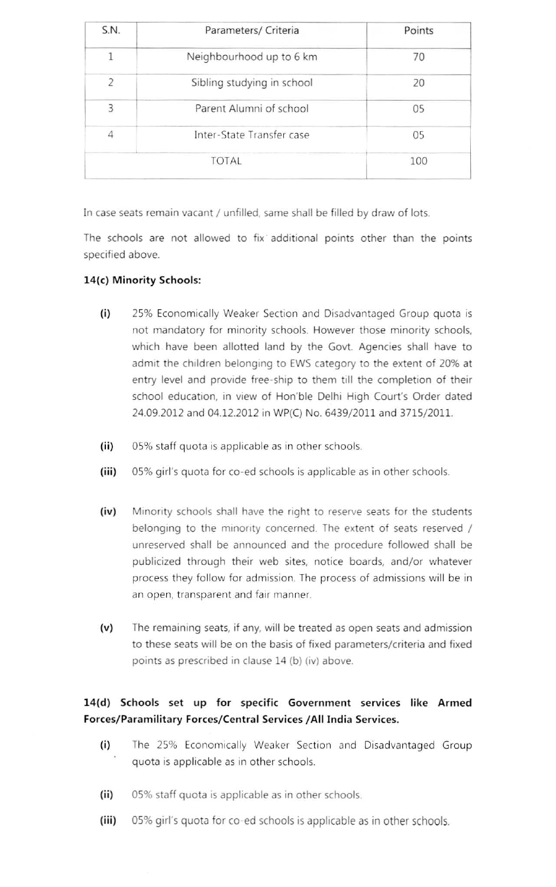| Parameters/ Criteria       | Points |
|----------------------------|--------|
| Neighbourhood up to 6 km   | 70     |
| Sibling studying in school | 20     |
| Parent Alumni of school    | 05     |
| Inter-State Transfer case  | 05     |
| <b>TOTAL</b>               | 100    |
|                            |        |

In case seats remain vacant / unfilled, same shall be filled by draw of lots.

The schools are not allowed to fix additional points other than the points specified above.

## 14{c) Minority Schools:

- (i) 25% Economically Weaker Section and Disadvantaged Group quota is not mandatory for minority schools. However those minority schools, which have been allotted land by the Govt. Agencies shall have to admit the children belonging to EWS category to the extent of 20% at entry level and provide free-ship to them till the completion of their school education, in view of Hon'ble Delhi High Court's Order dated 24.09.2012 and 04.12.2012 in WP(C) No. 6439/2011 and 3715/2011
- (ii) 05% staff quota is applicable as in other schools.
- (iii) 05% girl's quota for co-ed schools is applicable as in other schools.
- (iv) Minority schools shall have the right to reserve seats for the students belonging to the minority concerned. The extent of seats reserved / unreserved shall be announced and the procedure followed shall be publicized through their web sites, notice boards, and/or whatever process they follow for admission. The process of admissions will be in an open, transparent and fair manner.
- (v) The remaining seats, if any, will be treated as open seats and admission to these seats will be on the basis of fixed parameters/criteria and fixed points as prescribed in clause 14 (b) (iv) above.

## 14(d) Schools set up for specific Government services like Armed Forces/Paramilitary Forces/Central Services /AII India Services.

- (i) The 25% Economically Weaker Section and Disadvantaged Group quota is applicable as in other schools.
- (ii) 05% staff quota is applicable as in other schools.
- (iii) 05% girl's quota for co-ed schools is applicable as in other schools.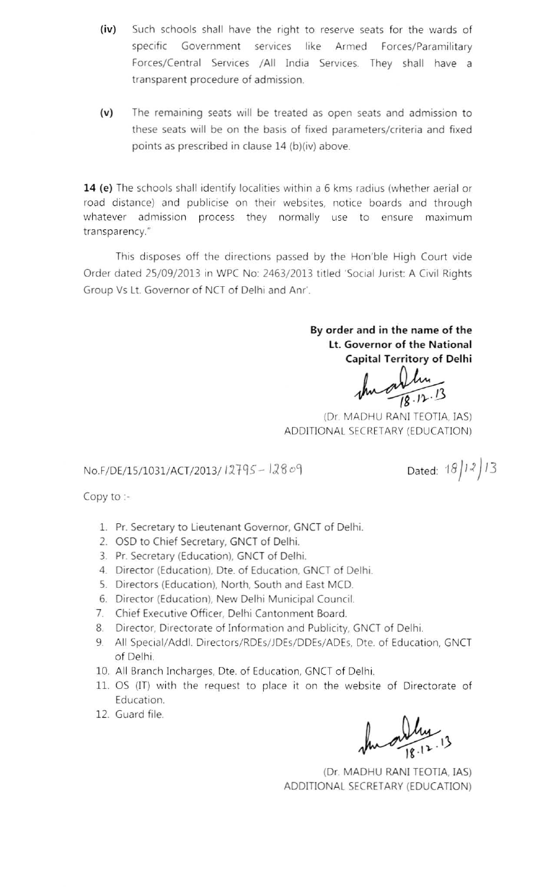- (iv) Such schools shall have the right to reserve seats for the wards of specific Government services like Armed Forces/Paramilitary Forces/Central Services /AII India Services. They shall have a transparent procedure of admission.
- (v) The remaining seats will be treated as open seats and admission to these seats will be on the basis of fixed parameters/criteria and fixed points as prescribed in clause 14 (b)(iv) above.

14 (e) The schools shall identify localities within a 6 kms radius (whether aerial or road distance) and publicise on their websites, notice boards and through whatever admission process they normally use to ensure maximum transparency."

This disposes off the directions passed by the Hon'ble High Court vide Order dated 25/09/2013 In WPC No: 2463/2013 titled 'Social Jurist: A Civil Rights Group Vs Lt. Governor of NCT of Delhi and Anr'.

> By order and in the name of the Lt. Governor of the National Capital Territory of Delhi

nathung  $\mathbf v$ 

(Dr. MADHU RANI TEOTIA, IAS) ADDITIONAL SECRETARY(EDUCATION)

## No.F/DE/15/1031/ACT/2013/12795 - 12809

Dated:  $18/12/13$ 

Copy to :-

- 1. Pr. Secretary to Lieutenant Governor, GNCT of Delhi.
- 2. OSD to Chief Secretary, GNCT of Delhi.
- 3. Pr. Secretary (Education), GNCT of Delhi.
- 4. Director (Education), Dte. of Education, GNCT of Delhi.
- 5. Directors (Education), North, South and East MCD.
- 6. Director (Education), New Delhi Municipal Council.
- 7. Chief Executive Officer, Delhi Cantonment Board.
- 8. Director, Directorate of Information and Publicity, GNCT of Delhi.
- 9. All Special/Addl. Directors/RDEs/JDEs/DDEs/ADEs, Dte. of Education, GNCT of Delhi.
- 10. All Branch Incharges, Dte. of Education, GNCT of Delhi.
- 11. OS (IT) with the request to place it on the website of Directorate of Education.
- 12. Guard file.

 $\sqrt{|g_1|^2}$ . 13

(Dr. MADHU RANI TEOTIA, IAS) ADDITIONAL SECRETARY(EDUCATION)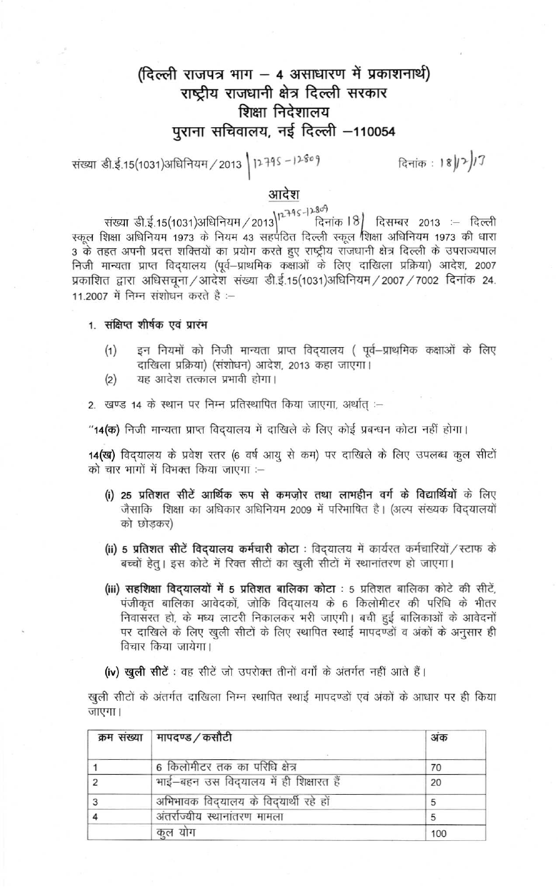# **<sup>~</sup> '{!\it q?l 'Jf11T - <sup>4</sup> 3ffl1WXUT 1l 101if>t~ <sup>t</sup>'11'1f)** राष्ट्रीय राजधानी क्षेत्र दिल्ली सरकार शिक्षा निदेशालय पुराना सचिवालय, नई दिल्ली -110054

<i= ~{15(1031)~/2013 \ p.l-q, -1)-~ol ~ • <sup>I</sup>gj,.,.)n

# आदेश

**\ , ..:i-q ~ \_I )...309** संख्या डी.ई.15(1031)अधिनियम / 2013**)' दिनांक l ४| दिसम्बर 2013 :— दि** रकल शिक्षा अधिनियम 1973 के नियम 43 सहपठित दिल्ली स्कूल शिक्षा अधिनियम 1973 की धारा 3 के तहत अपनी प्रदत्त शक्तियों का प्रयोग करते हुए राष्ट्रीय राजधानी क्षेत्र दिल्ली के उपराज्यपाल निजी मान्यता प्राप्त विदयालय (पूर्व-प्राथमिक कक्षाओं के लिए दाखिला प्रक्रिया) आदेश, 2007 प्रकाशित द्वारा अधिसचना /आदेश संख्या डी.ई.15(1031)अधिनियम / 2007 / 7002 दिनांक 24. 11.2007 में निम्न संशोधन करते है :--

1. संक्षिप्त शीर्षक एवं प्रारंभ

- (1) इन नियमों को निजी मान्यता प्राप्त विदयालय (पूर्व–प्राथमिक कक्षाओं के लिए दाखिला प्रक्रिया) (संशोधन) आदेश, 2013 कहा जाएगा।
- (2) यह आदेश तत्काल प्रभावी होगा।
- 2. खण्ड 14 के स्थान पर निम्न प्रतिस्थापित किया जाएगा, अर्थात् :-

"14(क) निजी मान्यता प्राप्त विदयालय में दाखिले के लिए कोई प्रबन्धन कोटा नहीं होगा।

14(ख) विदयालय के प्रवेश स्तर (6 वर्ष आयु से कम) पर दाखिले के लिए उपलब्ध कूल सीटों को चार भागों में विभक्त किया जाएगा :--

- (i) 25 प्रतिशत सीटें आर्थिक रूप से कमजोर तथा लाभहीन वर्ग के विद्यार्थियों के लिए जैसाकि शिक्षा का अधिकार अधिनियम 2009 में परिभाषित है। (अल्प संख्यक विदयालयों को छोडकर)
- (ii) 5 प्रतिशत सीटें विदयालय कर्मचारी कोटा : विदयालय में कार्यरत कर्मचारियों / स्टाफ के बच्चों हेतू। इस कोटे में रिक्त सीटों का खुली सीटों में स्थानांतरण हो जाएगा।
- (iii) सहशिक्षा विदयालयों में 5 प्रतिशत बालिका कोटा : 5 प्रतिशत बालिका कोटे की सीटें, पंजीकृत बालिका आवेदकों, जोकि विदयालय के 6 किलोमीटर की परिधि के भीतर निवासरत हो, के मध्य लाटरी निकालकर भरी जाएगी। बची हुई बालिकाओं के आवेदनों पर दाखिले के लिए खुली सीटों के लिए स्थापित स्थाई मापदण्डों व अंकों के अनुसार ही विचार किया जायेगा।
- (iv) खुली सीटें : वह सीटें जो उपरोक्त तीनों वर्गों के अंतर्गत नहीं आते हैं।

खुली सीटों के अंतर्गत दाखिला निम्न स्थापित स्थाई मापदण्डों एवं अंकों के आधार पर ही किया जाएगा।

| क्रम संख्या   मापदण्ड / कसौटी          | अंक |
|----------------------------------------|-----|
| 6 किलोमीटर तक का परिधि क्षेत्र         | 70  |
| भाई-बहन उस विदयालय में ही शिक्षारत हैं | 20  |
| अभिभावक विद्यालय के विद्यार्थी रहे हों | 5   |
| अंतर्राज्यीय स्थानांतरण मामला          | 5   |
| कुल योग                                | 100 |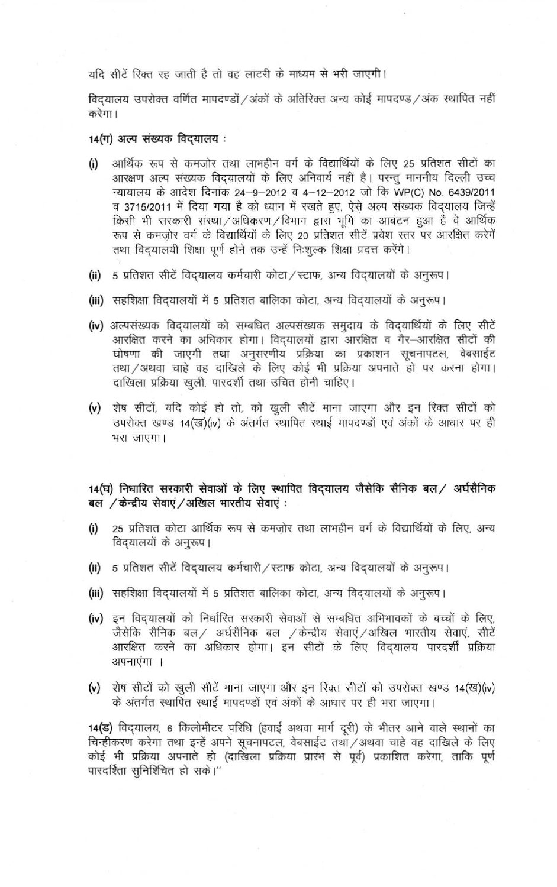#### यदि सीटें रिक्त रह जाती है तो वह लाटरी के माध्यम से भरी जाएगी।

विद्यालय उपरोक्त वर्णित मापदण्डों /अंकों के अतिरिक्त अन्य कोई मापदण्ड /अंक स्थापित नहीं करेगा।

### 14(ग) अल्प संख्यक विदयालय:

- आर्थिक रूप से कमजोर तथा लाभहीन वर्ग के विद्यार्थियों के लिए 25 प्रतिशत सीटों का  $(i)$ आरक्षण अल्प संख्यक विदयालयों के लिए अनिवार्य नहीं है। परन्तु माननीय दिल्ली उच्च न्यायालय के आदेश दिनांक 24-9-2012 व 4-12-2012 जो कि WP(C) No. 6439/2011 व 3715/2011 में दिया गया है को ध्यान में रखते हुए, ऐसे अल्प संख्यक विद्यालय जिन्हें किसी भी सरकारी संस्था / अधिकरण / विभाग द्वारा भूमि का आबंटन हुआ है वे आर्थिक रूप से कमज़ोर वर्ग के विद्यार्थियों के लिए 20 प्रतिशत सीटें प्रवेश स्तर पर आरक्षित करेगें तथा विदयालयी शिक्षा पूर्ण होने तक उन्हें निःशुल्क शिक्षा प्रदत्त करेंगे।
- (ii) 5 प्रतिशत सीटें विदयालय कर्मचारी कोटा / स्टाफ, अन्य विदयालयों के अनुरूप।
- (iii) सहशिक्षा विदयालयों में 5 प्रतिशत बालिका कोटा, अन्य विदयालयों के अनुरूप।
- (iv) अल्पसंख्यक विदयालयों को सम्बधित अल्पसंख्यक समुदाय के विदयार्थियों के लिए सीटें आरक्षित करने का अधिकार होगा। विदयालयों द्वारा आरक्षित व गैर-आरक्षित सीटों की घोषणा की जाएगी तथा अनुसरणीय प्रक्रिया का प्रकाशन सूचनापटल, वेबसाईट तथा/अथवा चाहे वह दाखिले के लिए कोई भी प्रक्रिया अपनाते हो पर करना होगा। दाखिला प्रक्रिया खुली, पारदर्शी तथा उचित होनी चाहिए।
- (v) शेष सीटों, यदि कोई हो तो, को खुली सीटें माना जाएगा और इन रिक्त सीटों को उपरोक्त खण्ड 14(ख)(iv) के अंतर्गत स्थापित स्थाई मापदण्डों एवं अंकों के आधार पर ही भरा जाएगा।

14(घ) निधारित सरकारी सेवाओं के लिए स्थापित विदयालय जैसेकि सैनिक बल / अर्घसैनिक बल /केन्द्रीय सेवाएं/अखिल भारतीय सेवाएं :

- 25 प्रतिशत कोटा आर्थिक रूप से कमजोर तथा लाभहीन वर्ग के विद्यार्थियों के लिए, अन्य  $(i)$ विद्यालयों के अनुरूप।
- (ii) 5 प्रतिशत सीटें विद्यालय कर्मचारी / स्टाफ कोटा, अन्य विद्यालयों के अनुरूप।
- (iii) सहशिक्षा विद्यालयों में 5 प्रतिशत बालिका कोटा, अन्य विद्यालयों के अनुरूप।
- (iv) इन विदयालयों को निर्धारित सरकारी सेवाओं से सम्बधित अभिभावकों के बच्चों के लिए, जैसेकि सैनिक बल/ अर्घसैनिक बल /केन्द्रीय सेवाएं/अखिल भारतीय सेवाएं, सीटें आरक्षित करने का अधिकार होगा। इन सीटों के लिए विदयालय पारदर्शी प्रक्रिया अपनाएंगा ।
- (v) शेष सीटों को खुली सीटें माना जाएगा और इन रिक्त सीटों को उपरोक्त खण्ड 14(ख)(iv) के अंतर्गत स्थापित स्थाई मापदण्डों एवं अंकों के आधार पर ही भरा जाएगा।

14(ड) विद्यालय, 6 किलोमीटर परिधि (हवाई अथवा मार्ग दूरी) के भीतर आने वाले स्थानों का चिन्हीकरण करेगा तथा इन्हें अपने सूचनापटल, वेबसाईट तथा /अथवा चाहे वह दाखिले के लिए कोई भी प्रक्रिया अपनाते हो (दाखिला प्रक्रिया प्रारंभ से पूर्व) प्रकाशित करेगा, ताकि पूर्ण पारदर्शिता सुनिशिचित हो सके।''